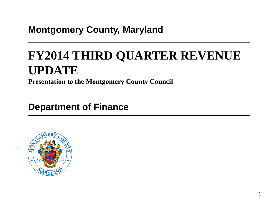### **Montgomery County, Maryland**

# **FY2014 THIRD QUARTER REVENUE UPDATE**

**Presentation to the Montgomery County Council**

### **Department of Finance**

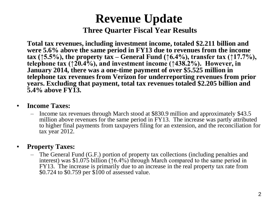## **Revenue Update Three Quarter Fiscal Year Results**

**Total tax revenues, including investment income, totaled \$2.211 billion and were 5.6% above the same period in FY13 due to revenues from the income tax** ( $\uparrow$ 5.5%), the property tax – General Fund ( $\uparrow$ 6.4%), transfer tax ( $\uparrow$ 17.7%), **telephone tax (↑20.4%), and investment income (↑438.2%). However, in January 2014, there was a one-time payment of over \$5.525 million in telephone tax revenues from Verizon for underreporting revenues from prior years. Excluding that payment, total tax revenues totaled \$2.205 billion and 5.4% above FY13***.* 

- **Income Taxes:**
	- Income tax revenues through March stood at \$830.9 million and approximately \$43.5 million above revenues for the same period in FY13. The increase was partly attributed to higher final payments from taxpayers filing for an extension, and the reconciliation for tax year 2012.

#### • **Property Taxes:**

– The General Fund (G.F.) portion of property tax collections (including penalties and interest) was \$1.075 billion (↑6.4%) through March compared to the same period in FY13. The increase is primarily due to an increase in the real property tax rate from \$0.724 to \$0.759 per \$100 of assessed value.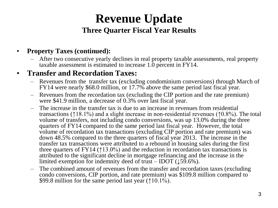## **Revenue Update Three Quarter Fiscal Year Results**

#### • **Property Taxes (continued):**

– After two consecutive yearly declines in real property taxable assessments, real property taxable assessment is estimated to increase 1.0 percent in FY14.

#### • **Transfer and Recordation Taxes:**

- Revenues from the transfer tax (excluding condominium conversions) through March of FY14 were nearly \$68.0 million, or 17.7% above the same period last fiscal year.
- Revenues from the recordation tax (excluding the CIP portion and the rate premium) were \$41.9 million, a decrease of 0.3% over last fiscal year.
- The increase in the transfer tax is due to an increase in revenues from residential transactions (↑18.1%) and a slight increase in non-residential revenues (↑0.8%). The total volume of transfers, not including condo conversions, was up 13.0% during the three quarters of FY14 compared to the same period last fiscal year. However, the total volume of recordation tax transactions (excluding CIP portion and rate premium) was down 48.5% compared to the three quarters of fiscal year 2013. The increase in the transfer tax transactions were attributed to a rebound in housing sales during the first three quarters of FY14 ( $\uparrow$ 13.0%) and the reduction in recordation tax transactions is attributed to the significant decline in mortgage refinancing and the increase in the limited exemption for indemnity deed of trust – IDOT  $(159.6\%)$ .
- The combined amount of revenues from the transfer and recordation taxes (excluding condo conversions, CIP portion, and rate premium) was \$109.8 million compared to \$99.8 million for the same period last year (↑10.1%).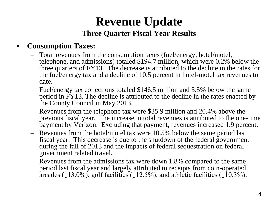### **Revenue Update Three Quarter Fiscal Year Results**

### • **Consumption Taxes:**

- Total revenues from the consumption taxes (fuel/energy, hotel/motel, telephone, and admissions) totaled \$194.7 million, which were 0.2% below the three quarters of FY13. The decrease is attributed to the decline in the rates for the fuel/energy tax and a decline of 10.5 percent in hotel-motel tax revenues to date.
- Fuel/energy tax collections totaled \$146.5 million and 3.5% below the same period in FY13. The decline is attributed to the decline in the rates enacted by the County Council in May 2013.
- Revenues from the telephone tax were \$35.9 million and 20.4% above the previous fiscal year. The increase in total revenues is attributed to the one-time payment by Verizon. Excluding that payment, revenues increased 1.9 percent.
- Revenues from the hotel/motel tax were 10.5% below the same period last fiscal year. This decrease is due to the shutdown of the federal government during the fall of 2013 and the impacts of federal sequestration on federal government related travel.
- Revenues from the admissions tax were down 1.8% compared to the same period last fiscal year and largely attributed to receipts from coin-operated arcades ( $\downarrow$ 13.0%), golf facilities ( $\downarrow$ 12.5%), and athletic facilities ( $\downarrow$ 10.3%).